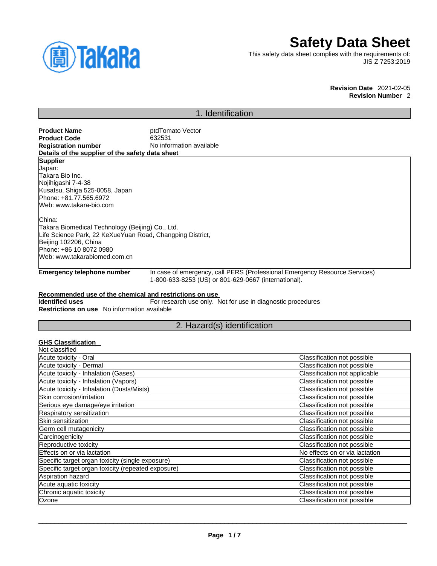

# **Safety Data Sheet**

No effects on or via lactation

This safety data sheet complies with the requirements of: JIS Z 7253:2019

> **Revision Date** 2021-02-05 **Revision Number** 2

## 1. Identification

| <b>Product Name</b>                                                                                        | ptdTomato Vector                                            |                                                                            |  |
|------------------------------------------------------------------------------------------------------------|-------------------------------------------------------------|----------------------------------------------------------------------------|--|
| <b>Product Code</b>                                                                                        | 632531                                                      |                                                                            |  |
| No information available<br><b>Registration number</b><br>Details of the supplier of the safety data sheet |                                                             |                                                                            |  |
|                                                                                                            |                                                             |                                                                            |  |
| <b>Supplier</b>                                                                                            |                                                             |                                                                            |  |
| Japan:<br>ITakara Bio Inc.                                                                                 |                                                             |                                                                            |  |
| Nojihigashi 7-4-38                                                                                         |                                                             |                                                                            |  |
| Kusatsu, Shiga 525-0058, Japan                                                                             |                                                             |                                                                            |  |
| Phone: +81.77.565.6972                                                                                     |                                                             |                                                                            |  |
| Web: www.takara-bio.com                                                                                    |                                                             |                                                                            |  |
| China:                                                                                                     |                                                             |                                                                            |  |
| Takara Biomedical Technology (Beijing) Co., Ltd.                                                           |                                                             |                                                                            |  |
| Life Science Park, 22 KeXueYuan Road, Changping District,                                                  |                                                             |                                                                            |  |
| Beijing 102206, China                                                                                      |                                                             |                                                                            |  |
| Phone: +86 10 8072 0980                                                                                    |                                                             |                                                                            |  |
| Web: www.takarabiomed.com.cn                                                                               |                                                             |                                                                            |  |
| <b>Emergency telephone number</b>                                                                          | 1-800-633-8253 (US) or 801-629-0667 (international).        | In case of emergency, call PERS (Professional Emergency Resource Services) |  |
| Recommended use of the chemical and restrictions on use                                                    |                                                             |                                                                            |  |
| <b>Identified uses</b>                                                                                     | For research use only. Not for use in diagnostic procedures |                                                                            |  |
| Restrictions on use No information available                                                               |                                                             |                                                                            |  |
|                                                                                                            | 2. Hazard(s) identification                                 |                                                                            |  |
|                                                                                                            |                                                             |                                                                            |  |
| <b>GHS Classification</b><br>Not classified                                                                |                                                             |                                                                            |  |
| Acute toxicity - Oral                                                                                      |                                                             | Classification not possible                                                |  |
| Acute toxicity - Dermal                                                                                    |                                                             | Classification not possible                                                |  |
| Acute toxicity - Inhalation (Gases)                                                                        |                                                             | Classification not applicable                                              |  |
| Acute toxicity - Inhalation (Vapors)                                                                       |                                                             | Classification not possible                                                |  |
| Acute toxicity - Inhalation (Dusts/Mists)                                                                  |                                                             | Classification not possible                                                |  |
| <b>Skin corrosion/irritation</b>                                                                           |                                                             | Classification not possible                                                |  |
| Serious eye damage/eye irritation                                                                          |                                                             | Classification not possible                                                |  |
| Respiratory sensitization                                                                                  |                                                             | Classification not possible                                                |  |
| <b>ISkin sensitization</b>                                                                                 |                                                             | Classification not possible                                                |  |

 $\_$  ,  $\_$  ,  $\_$  ,  $\_$  ,  $\_$  ,  $\_$  ,  $\_$  ,  $\_$  ,  $\_$  ,  $\_$  ,  $\_$  ,  $\_$  ,  $\_$  ,  $\_$  ,  $\_$  ,  $\_$  ,  $\_$  ,  $\_$  ,  $\_$  ,  $\_$  ,  $\_$  ,  $\_$  ,  $\_$  ,  $\_$  ,  $\_$  ,  $\_$  ,  $\_$  ,  $\_$  ,  $\_$  ,  $\_$  ,  $\_$  ,  $\_$  ,  $\_$  ,  $\_$  ,  $\_$  ,  $\_$  ,  $\_$  ,

Germ cell mutagenicity **Classification not possible** Carcinogenicity Classification not possible Productive toxicity<br>
Reproductive toxicity<br>
Effects on or via lactation<br>
No effects on or via lactation

Specific target organ toxicity (single exposure) Classification not possible Specific target organ toxicity (repeated exposure) Classification not possible Aspiration hazard Classification not possible Acute aquatic toxicity contracts of the contract of classification not possible contracts of classification not possible Chronic aquatic toxicity Classification not possible Ozone Classification not possible contract the Classification not possible contract the Classification not possible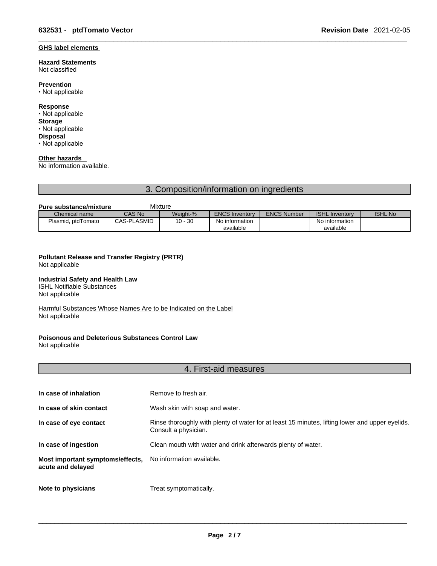#### **GHS label elements**

#### **Hazard Statements**  Not classified

**Prevention**

• Not applicable

#### **Response**

- Not applicable **Storage** • Not applicable
- **Disposal** • Not applicable

## **Other hazards**

No information available.

## 3. Composition/information on ingredients

#### **Pure substance/mixture** Mixture

| Chemical name      | CAS No             | Weight-%  | <b>ENCS Inventory</b> | <b>ENCS Number</b> | <b>ISHL Inventory</b> | <b>ISHL No</b> |
|--------------------|--------------------|-----------|-----------------------|--------------------|-----------------------|----------------|
| Plasmid, ptdTomato | <b>CAS-PLASMID</b> | $10 - 30$ | No information        |                    | No information        |                |
|                    |                    |           | available             |                    | available             |                |

## **Pollutant Release and Transfer Registry (PRTR)**

Not applicable

#### **Industrial Safety and Health Law**

ISHL Notifiable Substances

Not applicable

Harmful Substances Whose Names Are to be Indicated on the Label Not applicable

## **Poisonous and Deleterious Substances Control Law**

Not applicable

## 4. First-aid measures

| In case of inhalation                                 | Remove to fresh air.                                                                                                    |
|-------------------------------------------------------|-------------------------------------------------------------------------------------------------------------------------|
| In case of skin contact                               | Wash skin with soap and water.                                                                                          |
| In case of eye contact                                | Rinse thoroughly with plenty of water for at least 15 minutes, lifting lower and upper eyelids.<br>Consult a physician. |
| In case of ingestion                                  | Clean mouth with water and drink afterwards plenty of water.                                                            |
| Most important symptoms/effects,<br>acute and delayed | No information available.                                                                                               |
| Note to physicians                                    | Treat symptomatically.                                                                                                  |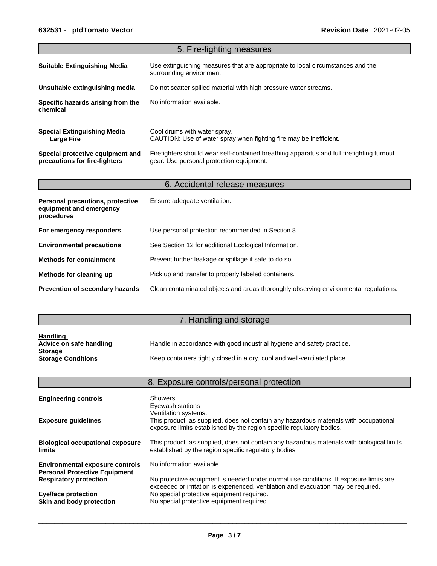|                                                                                  | 5. Fire-fighting measures                                                                                                             |
|----------------------------------------------------------------------------------|---------------------------------------------------------------------------------------------------------------------------------------|
| <b>Suitable Extinguishing Media</b>                                              | Use extinguishing measures that are appropriate to local circumstances and the<br>surrounding environment.                            |
| Unsuitable extinguishing media                                                   | Do not scatter spilled material with high pressure water streams.                                                                     |
| Specific hazards arising from the<br>chemical                                    | No information available.                                                                                                             |
| <b>Special Extinguishing Media</b><br><b>Large Fire</b>                          | Cool drums with water spray.<br>CAUTION: Use of water spray when fighting fire may be inefficient.                                    |
| Special protective equipment and<br>precautions for fire-fighters                | Firefighters should wear self-contained breathing apparatus and full firefighting turnout<br>gear. Use personal protection equipment. |
|                                                                                  | 6. Accidental release measures                                                                                                        |
| <b>Personal precautions, protective</b><br>equipment and emergency<br>procedures | Ensure adequate ventilation.                                                                                                          |
| For emergency responders                                                         | Use personal protection recommended in Section 8.                                                                                     |
| <b>Environmental precautions</b>                                                 | See Section 12 for additional Ecological Information.                                                                                 |
| <b>Methods for containment</b>                                                   | Prevent further leakage or spillage if safe to do so.                                                                                 |
| Methods for cleaning up                                                          | Pick up and transfer to properly labeled containers.                                                                                  |
| Prevention of secondary hazards                                                  | Clean contaminated objects and areas thoroughly observing environmental regulations.                                                  |

# 7. Handling and storage

| <b>Handling</b>           |                                                                          |
|---------------------------|--------------------------------------------------------------------------|
| Advice on safe handling   | Handle in accordance with good industrial hygiene and safety practice.   |
| <b>Storage</b>            |                                                                          |
| <b>Storage Conditions</b> | Keep containers tightly closed in a dry, cool and well-ventilated place. |

|                                                                                | 8. Exposure controls/personal protection                                                                                                                                               |
|--------------------------------------------------------------------------------|----------------------------------------------------------------------------------------------------------------------------------------------------------------------------------------|
| <b>Engineering controls</b>                                                    | Showers<br>Eyewash stations                                                                                                                                                            |
| <b>Exposure guidelines</b>                                                     | Ventilation systems.<br>This product, as supplied, does not contain any hazardous materials with occupational<br>exposure limits established by the region specific regulatory bodies. |
| <b>Biological occupational exposure</b><br><b>limits</b>                       | This product, as supplied, does not contain any hazardous materials with biological limits<br>established by the region specific regulatory bodies                                     |
| <b>Environmental exposure controls</b><br><b>Personal Protective Equipment</b> | No information available.                                                                                                                                                              |
| <b>Respiratory protection</b>                                                  | No protective equipment is needed under normal use conditions. If exposure limits are<br>exceeded or irritation is experienced, ventilation and evacuation may be required.            |
| <b>Eye/face protection</b><br>Skin and body protection                         | No special protective equipment required.<br>No special protective equipment required.                                                                                                 |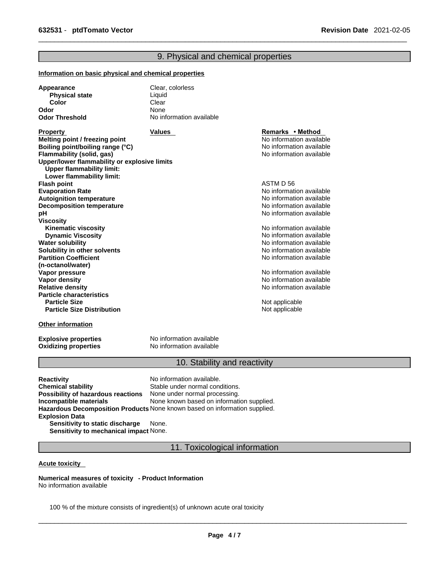## 9. Physical and chemical properties

#### **Information on basic physical and chemical properties**

| Appearance            | Clear, colorless         |
|-----------------------|--------------------------|
| <b>Physical state</b> | Liauid                   |
| Color                 | Clear                    |
| Odor                  | None                     |
| <b>Odor Threshold</b> | No information available |

**Property Remarks • Property Remarks • Method Melting point / freezing point**  $\blacksquare$  **Melting point** No information available **Boiling point/boiling range (°C)** and the set of the set of the No information available **Flammability (solid, gas)** No information available **Upper/lower flammability or explosive limits Upper flammability limit: Lower flammability limit: Flash point** ASTM D 56 **Evaporation Rate**<br> **Autoignition temperature**<br> **Autoignition temperature**<br> **Autoignition available Autoignition temperature**<br> **Decomposition temperature** Noinformation available<br>
No information available **Decomposition temperature pH pH** *pH* **Viscosity Kinematic viscosity Notifically** No information available **Dynamic Viscosity No information available** No information available **Water solubility Water solubility Water solubility Water Solubility Water Solubility Water Solubility Water Solubility Water Solubility Water Solubility Water Solubility Water Solub Solubility in other solvents intervalsed notation No information available No** information available **Partition Coefficient (n-octanol/water) Vapor pressure**<br> **Vapor density**<br> **Vapor density**<br> **Vapor density Vapor density**<br> **Vapor density**<br> **Relative density**<br> **Relative density Particle characteristics Particle Size Distribution** Not applicable

#### **Other information**

**Oxidizing properties** 

**Explosive properties**<br> **Oxidizing properties**<br>
No information available

## 10. Stability and reactivity

No information available

**Relative density** No information available

**Not applicable** 

**Reactivity No information available. Chemical stability** Stable under normal conditions. **Possibility of hazardous reactions** None under normal processing. **Incompatible materials** None known based on information supplied. **Hazardous Decomposition Products** None known based on information supplied. **Explosion Data Sensitivity to static discharge** None.

**Sensitivity to mechanical impact** None.

11. Toxicological information

#### **Acute toxicity**

**Numerical measures of toxicity - Product Information** No information available

100 % of the mixture consists of ingredient(s) of unknown acute oral toxicity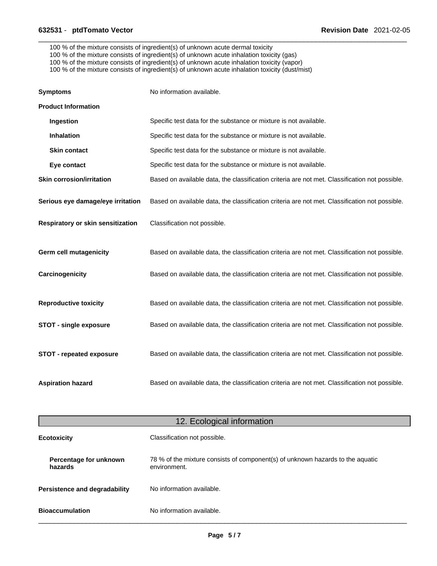100 % of the mixture consists of ingredient(s) of unknown acute dermal toxicity

- 100 % of the mixture consists of ingredient(s) of unknown acute inhalation toxicity (gas)
- 100 % of the mixture consists of ingredient(s) of unknown acute inhalation toxicity (vapor)

100 % of the mixture consists of ingredient(s) of unknown acute inhalation toxicity (dust/mist)

| <b>Symptoms</b>                   | No information available.                                                                      |
|-----------------------------------|------------------------------------------------------------------------------------------------|
| <b>Product Information</b>        |                                                                                                |
| Ingestion                         | Specific test data for the substance or mixture is not available.                              |
| <b>Inhalation</b>                 | Specific test data for the substance or mixture is not available.                              |
| <b>Skin contact</b>               | Specific test data for the substance or mixture is not available.                              |
| Eye contact                       | Specific test data for the substance or mixture is not available.                              |
| <b>Skin corrosion/irritation</b>  | Based on available data, the classification criteria are not met. Classification not possible. |
| Serious eye damage/eye irritation | Based on available data, the classification criteria are not met. Classification not possible. |
| Respiratory or skin sensitization | Classification not possible.                                                                   |
| <b>Germ cell mutagenicity</b>     | Based on available data, the classification criteria are not met. Classification not possible. |
| Carcinogenicity                   | Based on available data, the classification criteria are not met. Classification not possible. |
| <b>Reproductive toxicity</b>      | Based on available data, the classification criteria are not met. Classification not possible. |
| <b>STOT - single exposure</b>     | Based on available data, the classification criteria are not met. Classification not possible. |
| STOT - repeated exposure          | Based on available data, the classification criteria are not met. Classification not possible. |
| <b>Aspiration hazard</b>          | Based on available data, the classification criteria are not met. Classification not possible. |

|                                   | 12. Ecological information                                                                     |
|-----------------------------------|------------------------------------------------------------------------------------------------|
| <b>Ecotoxicity</b>                | Classification not possible.                                                                   |
| Percentage for unknown<br>hazards | 78 % of the mixture consists of component(s) of unknown hazards to the aquatic<br>environment. |
| Persistence and degradability     | No information available.                                                                      |
| <b>Bioaccumulation</b>            | No information available.                                                                      |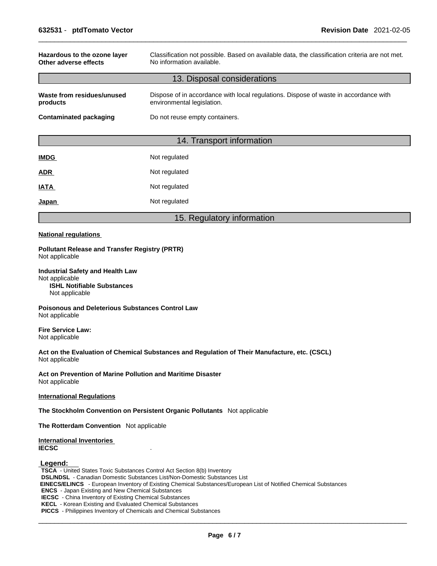| Hazardous to the ozone layer<br>Other adverse effects | Classification not possible. Based on available data, the classification criteria are not met.<br>No information available. |  |
|-------------------------------------------------------|-----------------------------------------------------------------------------------------------------------------------------|--|
|                                                       | 13. Disposal considerations                                                                                                 |  |
| Waste from residues/unused<br>products                | Dispose of in accordance with local regulations. Dispose of waste in accordance with<br>environmental legislation.          |  |
| <b>Contaminated packaging</b>                         | Do not reuse empty containers.                                                                                              |  |
|                                                       | 14. Transport information                                                                                                   |  |
| <b>IMDG</b>                                           | Not regulated                                                                                                               |  |

| טשווו | <b>INULTEGUIQICU</b> |
|-------|----------------------|
| ADR   | Not regulated        |
| IATA  | Not regulated        |
| Japan | Not regulated        |

## 15. Regulatory information

#### **National regulations**

**Pollutant Release and Transfer Registry (PRTR)** Not applicable

**Industrial Safety and Health Law** Not applicable **ISHL Notifiable Substances** Not applicable

**Poisonous and Deleterious Substances Control Law** Not applicable

**Fire Service Law:** Not applicable

**Act on the Evaluation of Chemical Substances and Regulation of Their Manufacture, etc. (CSCL)** Not applicable

**Act on Prevention of Marine Pollution and Maritime Disaster** Not applicable

#### **International Regulations**

**The Stockholm Convention on Persistent Organic Pollutants** Not applicable

**The Rotterdam Convention** Not applicable

**International Inventories IECSC** .

#### **Legend:**

**TSCA** - United States Toxic Substances Control Act Section 8(b) Inventory **DSL/NDSL** - Canadian Domestic Substances List/Non-Domestic Substances List  **EINECS/ELINCS** - European Inventory of Existing Chemical Substances/European List of Notified Chemical Substances **ENCS** - Japan Existing and New Chemical Substances **IECSC** - China Inventory of Existing Chemical Substances **KECL** - Korean Existing and Evaluated Chemical Substances **PICCS** - Philippines Inventory of Chemicals and Chemical Substances